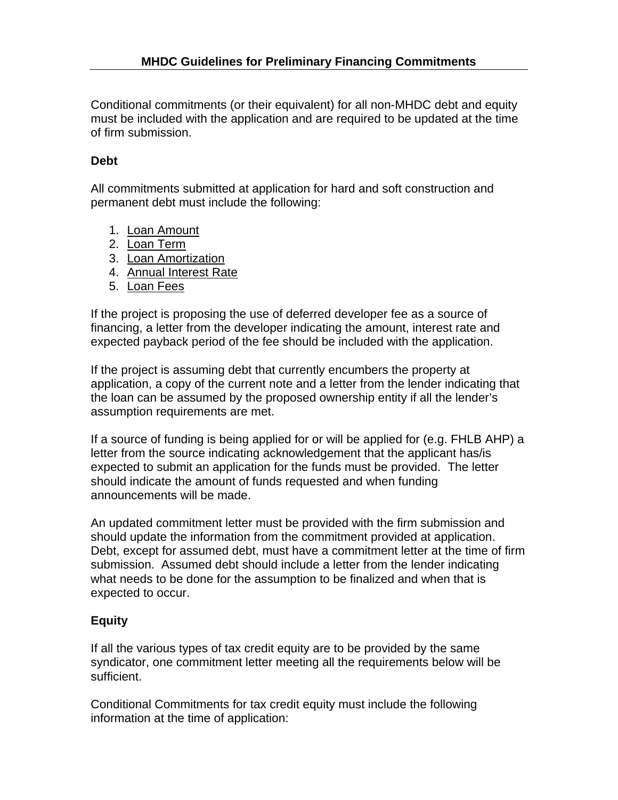Conditional commitments (or their equivalent) for all non-MHDC debt and equity must be included with the application and are required to be updated at the time of firm submission.

## **Debt**

All commitments submitted at application for hard and soft construction and permanent debt must include the following:

- 1. Loan Amount
- 2. Loan Term
- 3. Loan Amortization
- 4. Annual Interest Rate
- 5. Loan Fees

If the project is proposing the use of deferred developer fee as a source of financing, a letter from the developer indicating the amount, interest rate and expected payback period of the fee should be included with the application.

If the project is assuming debt that currently encumbers the property at application, a copy of the current note and a letter from the lender indicating that the loan can be assumed by the proposed ownership entity if all the lender's assumption requirements are met.

If a source of funding is being applied for or will be applied for (e.g. FHLB AHP) a letter from the source indicating acknowledgement that the applicant has/is expected to submit an application for the funds must be provided. The letter should indicate the amount of funds requested and when funding announcements will be made.

An updated commitment letter must be provided with the firm submission and should update the information from the commitment provided at application. Debt, except for assumed debt, must have a commitment letter at the time of firm submission. Assumed debt should include a letter from the lender indicating what needs to be done for the assumption to be finalized and when that is expected to occur.

## **Equity**

If all the various types of tax credit equity are to be provided by the same syndicator, one commitment letter meeting all the requirements below will be sufficient.

Conditional Commitments for tax credit equity must include the following information at the time of application: